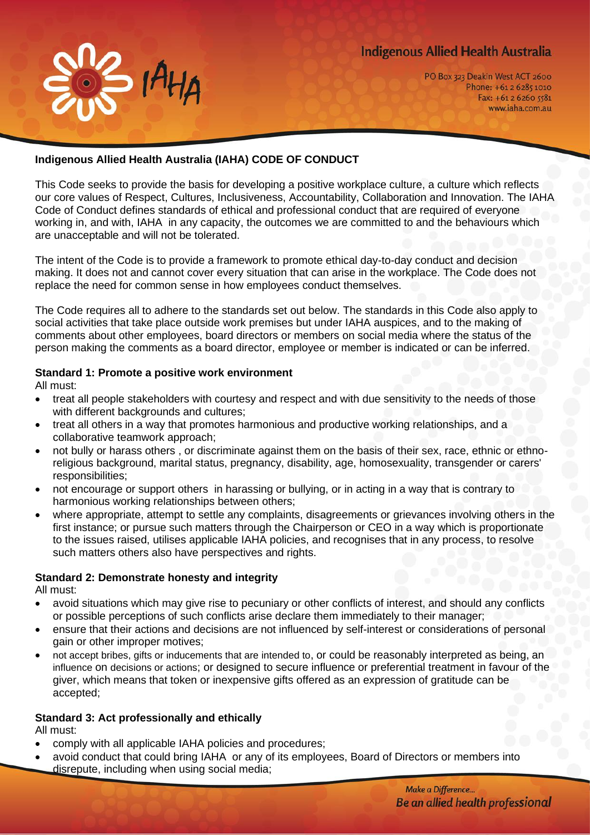# **Indigenous Allied Health Australia**



## **Indigenous Allied Health Australia (IAHA) CODE OF CONDUCT**

 $\overline{\phantom{a}}$   $\overline{\phantom{a}}$   $\overline{\phantom{a}}$   $\overline{\phantom{a}}$ 

This Code seeks to provide the basis for developing a positive workplace culture, a culture which reflects our core values of Respect, Cultures, Inclusiveness, Accountability, Collaboration and Innovation. The IAHA Code of Conduct defines standards of ethical and professional conduct that are required of everyone working in, and with, IAHA in any capacity, the outcomes we are committed to and the behaviours which are unacceptable and will not be tolerated.

The intent of the Code is to provide a framework to promote ethical day-to-day conduct and decision making. It does not and cannot cover every situation that can arise in the workplace. The Code does not replace the need for common sense in how employees conduct themselves.

The Code requires all to adhere to the standards set out below. The standards in this Code also apply to social activities that take place outside work premises but under IAHA auspices, and to the making of comments about other employees, board directors or members on social media where the status of the person making the comments as a board director, employee or member is indicated or can be inferred.

#### **Standard 1: Promote a positive work environment**

All must:

- treat all people stakeholders with courtesy and respect and with due sensitivity to the needs of those with different backgrounds and cultures;
- treat all others in a way that promotes harmonious and productive working relationships, and a collaborative teamwork approach;
- not bully or harass others , or discriminate against them on the basis of their sex, race, ethnic or ethnoreligious background, marital status, pregnancy, disability, age, homosexuality, transgender or carers' responsibilities;
- not encourage or support others in harassing or bullying, or in acting in a way that is contrary to harmonious working relationships between others;
- where appropriate, attempt to settle any complaints, disagreements or grievances involving others in the first instance; or pursue such matters through the Chairperson or CEO in a way which is proportionate to the issues raised, utilises applicable IAHA policies, and recognises that in any process, to resolve such matters others also have perspectives and rights.

### **Standard 2: Demonstrate honesty and integrity**

All must:

- avoid situations which may give rise to pecuniary or other conflicts of interest, and should any conflicts or possible perceptions of such conflicts arise declare them immediately to their manager;
- ensure that their actions and decisions are not influenced by self-interest or considerations of personal gain or other improper motives;
- not accept bribes, gifts or inducements that are intended to, or could be reasonably interpreted as being, an influence on decisions or actions; or designed to secure influence or preferential treatment in favour of the giver, which means that token or inexpensive gifts offered as an expression of gratitude can be accepted;

### **Standard 3: Act professionally and ethically**

All must:

- comply with all applicable IAHA policies and procedures;
- avoid conduct that could bring IAHA or any of its employees, Board of Directors or members into disrepute, including when using social media;